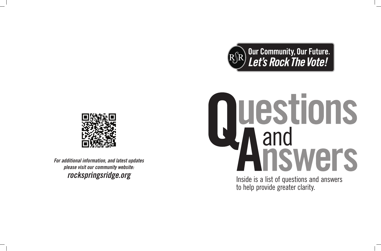





*For additional information, and latest updates please visit our community website:*

# **Our Community, Our Future.<br>Let's Rock The Vote!**

# *rockspringsridge.org*<br> *rockspringsridge.org*<br> *rockspringsridge.org*<br> *nockspringsridge.org*<br> *nockspringsridge.org*<br> *nockspringsridge.org*

to help provide greater clarity.